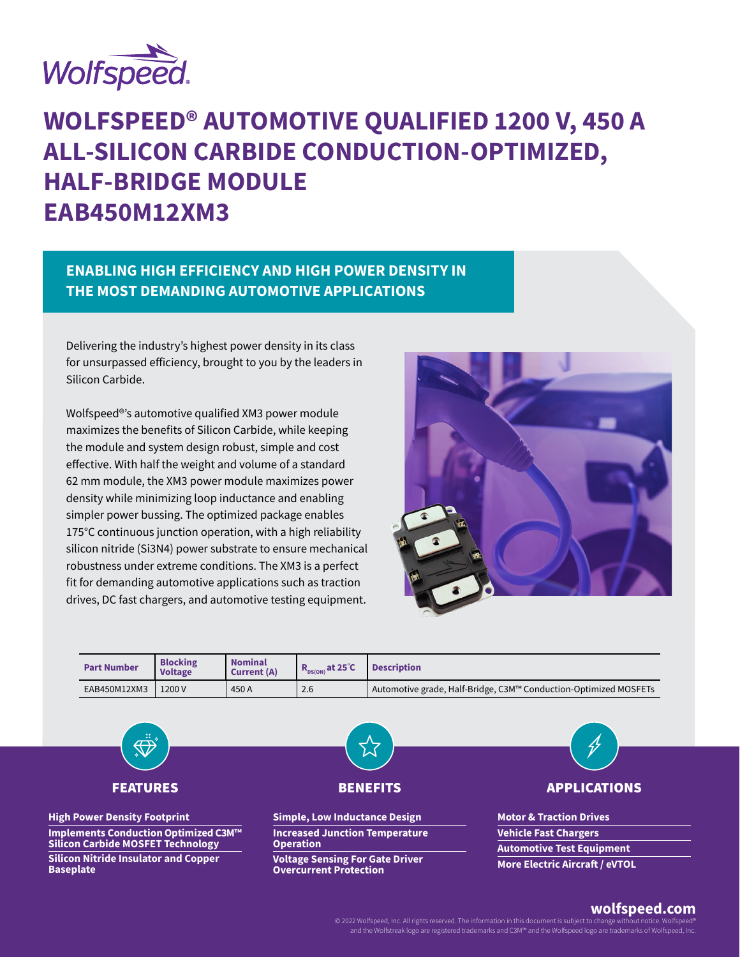

**Baseplate** 

# **WOLFSPEED® AUTOMOTIVE QUALIFIED 1200 V, 450 A ALL-SILICON CARBIDE CONDUCTION-OPTIMIZED, HALF-BRIDGE MODULE EAB450M12XM3**

# **ENABLING HIGH EFFICIENCY AND HIGH POWER DENSITY IN THE MOST DEMANDING AUTOMOTIVE APPLICATIONS**

Delivering the industry's highest power density in its class for unsurpassed efficiency, brought to you by the leaders in Silicon Carbide.

Wolfspeed®'s automotive qualified XM3 power module maximizes the benefits of Silicon Carbide, while keeping the module and system design robust, simple and cost effective. With half the weight and volume of a standard 62 mm module, the XM3 power module maximizes power density while minimizing loop inductance and enabling simpler power bussing. The optimized package enables 175°C continuous junction operation, with a high reliability silicon nitride (Si3N4) power substrate to ensure mechanical robustness under extreme conditions. The XM3 is a perfect fit for demanding automotive applications such as traction drives, DC fast chargers, and automotive testing equipment.





**Voltage Sensing For Gate Driver Overcurrent Protection**

## **wolfspeed.com**

© 2022 Wolfspeed, Inc. All rights reserved. The information in this document is subject to change with and the Wolfstreak logo are registered trademarks and C3M™ and the Wolfspeed logo are trademarks of Wolfspeed, Inc.

**More Electric Aircraft / eVTOL**